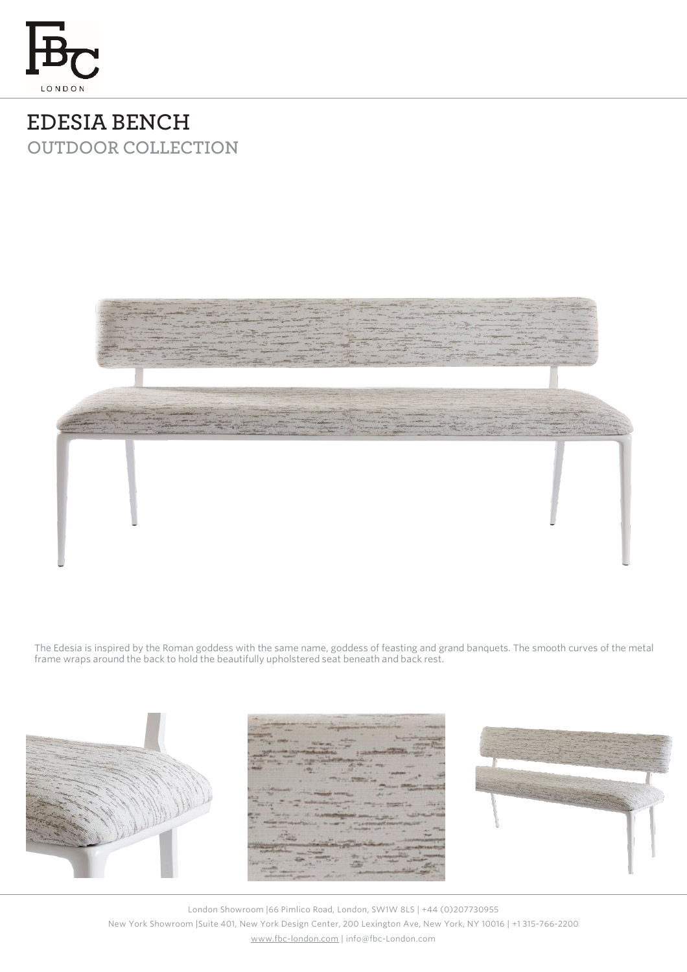

## **EDESIA BENCH OUTDOOR COLLECTION**



The Edesia is inspired by the Roman goddess with the same name, goddess of feasting and grand banquets. The smooth curves of the metal frame wraps around the back to hold the beautifully upholstered seat beneath and back rest.



London Showroom |66 Pimlico Road, London, SW1W 8LS | +44 (0)207730955 New York Showroom |Suite 401, New York Design Center, 200 Lexington Ave, New York, NY 10016 | +1 315-766-2200 [www.fbc-london.com](http://www.fbc-london.com/) | info@fbc-London.com